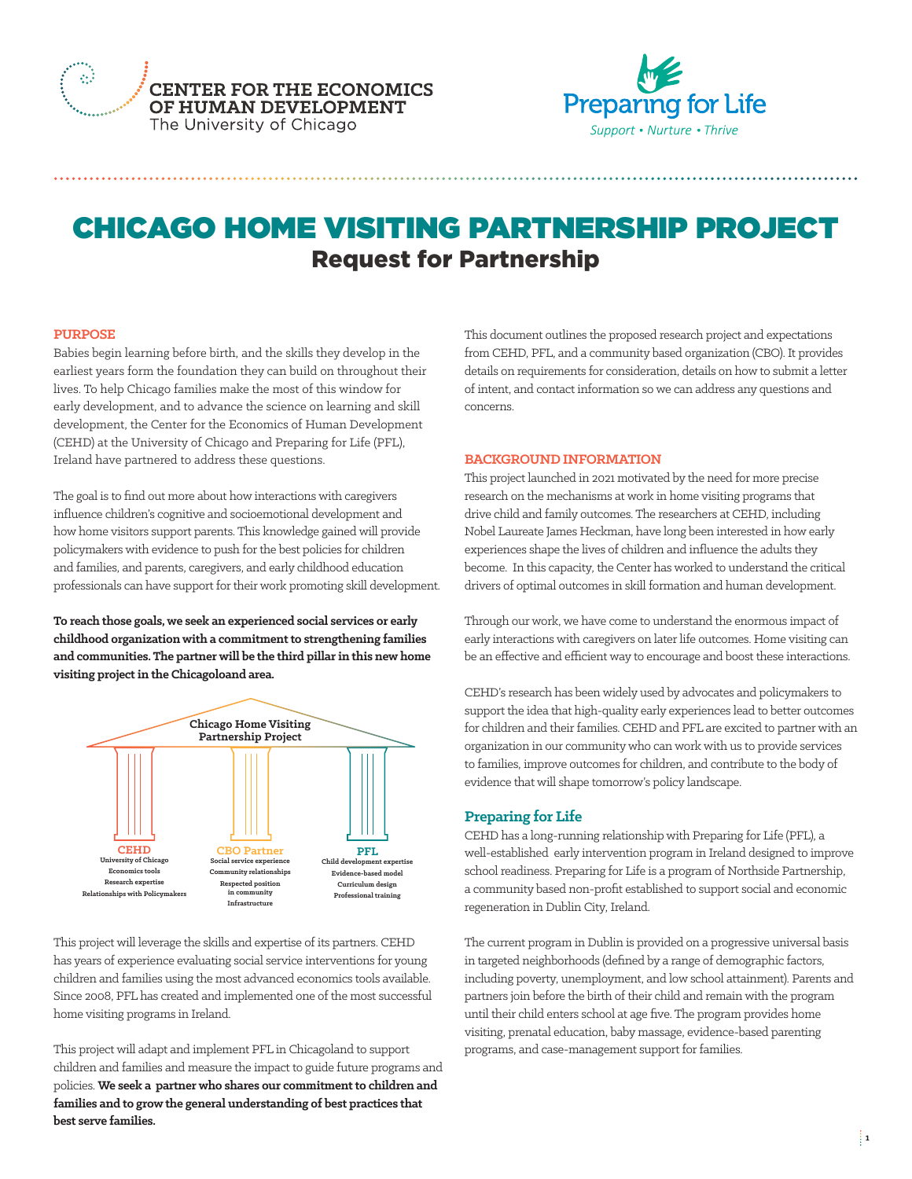



# CHICAGO HOME VISITING PARTNERSHIP PROJECT Request for Partnership

#### **PURPOSE**

Babies begin learning before birth, and the skills they develop in the earliest years form the foundation they can build on throughout their lives. To help Chicago families make the most of this window for early development, and to advance the science on learning and skill development, the Center for the Economics of Human Development (CEHD) at the University of Chicago and Preparing for Life (PFL), Ireland have partnered to address these questions.

The goal is to find out more about how interactions with caregivers influence children's cognitive and socioemotional development and how home visitors support parents. This knowledge gained will provide policymakers with evidence to push for the best policies for children and families, and parents, caregivers, and early childhood education professionals can have support for their work promoting skill development.

**To reach those goals, we seek an experienced social services or early childhood organization with a commitment to strengthening families and communities. The partner will be the third pillar in this new home visiting project in the Chicagoloand area.**



This project will leverage the skills and expertise of its partners. CEHD has years of experience evaluating social service interventions for young children and families using the most advanced economics tools available. Since 2008, PFL has created and implemented one of the most successful home visiting programs in Ireland.

This project will adapt and implement PFL in Chicagoland to support children and families and measure the impact to guide future programs and policies. **We seek a partner who shares our commitment to children and families and to grow the general understanding of best practices that best serve families.**

This document outlines the proposed research project and expectations from CEHD, PFL, and a community based organization (CBO). It provides details on requirements for consideration, details on how to submit a letter of intent, and contact information so we can address any questions and concerns.

#### **BACKGROUND INFORMATION**

This project launched in 2021 motivated by the need for more precise research on the mechanisms at work in home visiting programs that drive child and family outcomes. The researchers at CEHD, including Nobel Laureate James Heckman, have long been interested in how early experiences shape the lives of children and influence the adults they become. In this capacity, the Center has worked to understand the critical drivers of optimal outcomes in skill formation and human development.

Through our work, we have come to understand the enormous impact of early interactions with caregivers on later life outcomes. Home visiting can be an effective and efficient way to encourage and boost these interactions.

CEHD's research has been widely used by advocates and policymakers to support the idea that high-quality early experiences lead to better outcomes for children and their families. CEHD and PFL are excited to partner with an organization in our community who can work with us to provide services to families, improve outcomes for children, and contribute to the body of evidence that will shape tomorrow's policy landscape.

# **Preparing for Life**

CEHD has a long-running relationship with Preparing for Life (PFL), a well-established early intervention program in Ireland designed to improve school readiness. Preparing for Life is a program of Northside Partnership, a community based non-profit established to support social and economic regeneration in Dublin City, Ireland.

The current program in Dublin is provided on a progressive universal basis in targeted neighborhoods (defined by a range of demographic factors, including poverty, unemployment, and low school attainment). Parents and partners join before the birth of their child and remain with the program until their child enters school at age five. The program provides home visiting, prenatal education, baby massage, evidence-based parenting programs, and case-management support for families.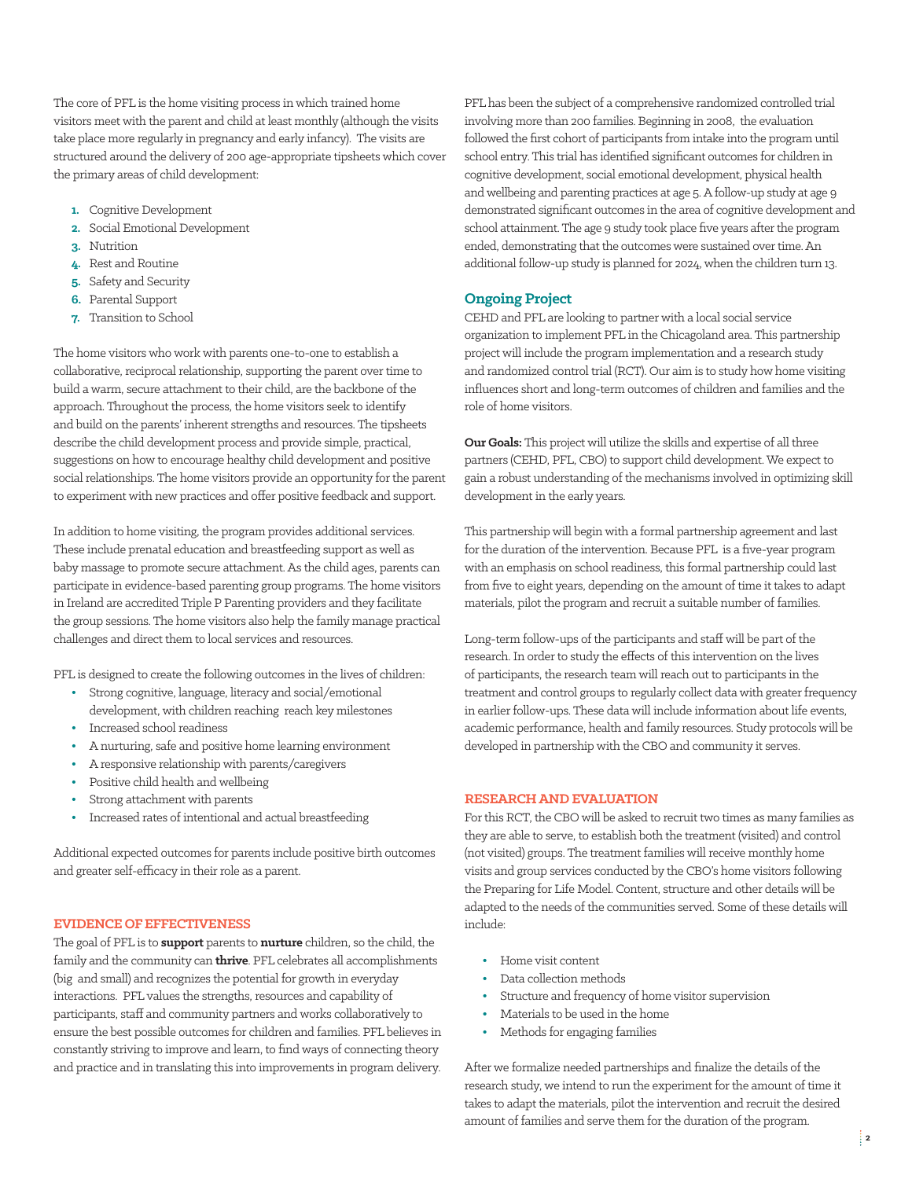The core of PFL is the home visiting process in which trained home visitors meet with the parent and child at least monthly (although the visits take place more regularly in pregnancy and early infancy). The visits are structured around the delivery of 200 age-appropriate tipsheets which cover the primary areas of child development:

- **1.** Cognitive Development
- **2.** Social Emotional Development
- **3.** Nutrition
- **4.** Rest and Routine
- **5.** Safety and Security
- **6.** Parental Support
- **7.** Transition to School

The home visitors who work with parents one-to-one to establish a collaborative, reciprocal relationship, supporting the parent over time to build a warm, secure attachment to their child, are the backbone of the approach. Throughout the process, the home visitors seek to identify and build on the parents' inherent strengths and resources. The tipsheets describe the child development process and provide simple, practical, suggestions on how to encourage healthy child development and positive social relationships. The home visitors provide an opportunity for the parent to experiment with new practices and offer positive feedback and support.

In addition to home visiting, the program provides additional services. These include prenatal education and breastfeeding support as well as baby massage to promote secure attachment. As the child ages, parents can participate in evidence-based parenting group programs. The home visitors in Ireland are accredited Triple P Parenting providers and they facilitate the group sessions. The home visitors also help the family manage practical challenges and direct them to local services and resources.

PFL is designed to create the following outcomes in the lives of children:

- **•** Strong cognitive, language, literacy and social/emotional development, with children reaching reach key milestones
- **•** Increased school readiness
- **•** A nurturing, safe and positive home learning environment
- **•** A responsive relationship with parents/caregivers
- **•** Positive child health and wellbeing
- **•** Strong attachment with parents
- **•** Increased rates of intentional and actual breastfeeding

Additional expected outcomes for parents include positive birth outcomes and greater self-efficacy in their role as a parent.

#### **EVIDENCE OF EFFECTIVENESS**

The goal of PFL is to **support** parents to **nurture** children, so the child, the family and the community can **thrive**. PFL celebrates all accomplishments (big and small) and recognizes the potential for growth in everyday interactions. PFL values the strengths, resources and capability of participants, staff and community partners and works collaboratively to ensure the best possible outcomes for children and families. PFL believes in constantly striving to improve and learn, to find ways of connecting theory and practice and in translating this into improvements in program delivery.

PFL has been the subject of a comprehensive randomized controlled trial involving more than 200 families. Beginning in 2008, the evaluation followed the first cohort of participants from intake into the program until school entry. This trial has identified significant outcomes for children in cognitive development, social emotional development, physical health and wellbeing and parenting practices at age 5. A follow-up study at age 9 demonstrated significant outcomes in the area of cognitive development and school attainment. The age 9 study took place five years after the program ended, demonstrating that the outcomes were sustained over time. An additional follow-up study is planned for 2024, when the children turn 13.

## **Ongoing Project**

CEHD and PFL are looking to partner with a local social service organization to implement PFL in the Chicagoland area. This partnership project will include the program implementation and a research study and randomized control trial (RCT). Our aim is to study how home visiting influences short and long-term outcomes of children and families and the role of home visitors.

**Our Goals:** This project will utilize the skills and expertise of all three partners (CEHD, PFL, CBO) to support child development. We expect to gain a robust understanding of the mechanisms involved in optimizing skill development in the early years.

This partnership will begin with a formal partnership agreement and last for the duration of the intervention. Because PFL is a five-year program with an emphasis on school readiness, this formal partnership could last from five to eight years, depending on the amount of time it takes to adapt materials, pilot the program and recruit a suitable number of families.

Long-term follow-ups of the participants and staff will be part of the research. In order to study the effects of this intervention on the lives of participants, the research team will reach out to participants in the treatment and control groups to regularly collect data with greater frequency in earlier follow-ups. These data will include information about life events, academic performance, health and family resources. Study protocols will be developed in partnership with the CBO and community it serves.

### **RESEARCH AND EVALUATION**

For this RCT, the CBO will be asked to recruit two times as many families as they are able to serve, to establish both the treatment (visited) and control (not visited) groups. The treatment families will receive monthly home visits and group services conducted by the CBO's home visitors following the Preparing for Life Model. Content, structure and other details will be adapted to the needs of the communities served. Some of these details will include:

- **•** Home visit content
- **•** Data collection methods
- **•** Structure and frequency of home visitor supervision
- **•** Materials to be used in the home
- **•** Methods for engaging families

After we formalize needed partnerships and finalize the details of the research study, we intend to run the experiment for the amount of time it takes to adapt the materials, pilot the intervention and recruit the desired amount of families and serve them for the duration of the program.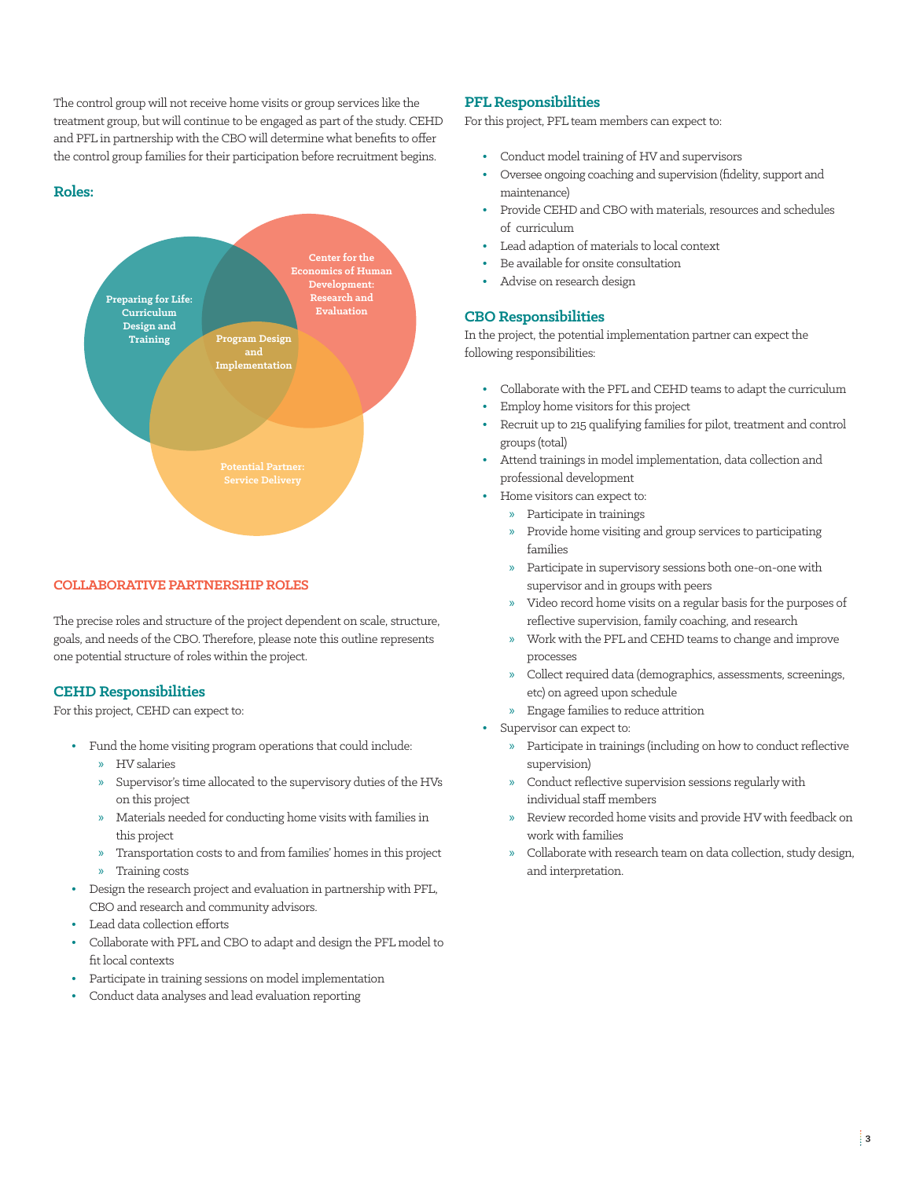The control group will not receive home visits or group services like the treatment group, but will continue to be engaged as part of the study. CEHD and PFL in partnership with the CBO will determine what benefits to offer the control group families for their participation before recruitment begins.

#### **Roles:**



#### **COLLABORATIVE PARTNERSHIP ROLES**

The precise roles and structure of the project dependent on scale, structure, goals, and needs of the CBO. Therefore, please note this outline represents one potential structure of roles within the project.

#### **CEHD Responsibilities**

For this project, CEHD can expect to:

- **•** Fund the home visiting program operations that could include:
	- » HV salaries
	- » Supervisor's time allocated to the supervisory duties of the HVs on this project
	- » Materials needed for conducting home visits with families in this project
	- » Transportation costs to and from families' homes in this project
	- » Training costs
- **•** Design the research project and evaluation in partnership with PFL, CBO and research and community advisors.
- **•** Lead data collection efforts
- **•** Collaborate with PFL and CBO to adapt and design the PFL model to fit local contexts
- **•** Participate in training sessions on model implementation
- **•** Conduct data analyses and lead evaluation reporting

#### **PFL Responsibilities**

For this project, PFL team members can expect to:

- **•** Conduct model training of HV and supervisors
- **•** Oversee ongoing coaching and supervision (fidelity, support and maintenance)
- **•** Provide CEHD and CBO with materials, resources and schedules of curriculum
- **•** Lead adaption of materials to local context
- **•** Be available for onsite consultation
- **•** Advise on research design

#### **CBO Responsibilities**

In the project, the potential implementation partner can expect the following responsibilities:

- **•** Collaborate with the PFL and CEHD teams to adapt the curriculum
- **•** Employ home visitors for this project
- **•** Recruit up to 215 qualifying families for pilot, treatment and control groups (total)
- **•** Attend trainings in model implementation, data collection and professional development
- **•** Home visitors can expect to:
	- » Participate in trainings
	- » Provide home visiting and group services to participating families
	- » Participate in supervisory sessions both one-on-one with supervisor and in groups with peers
	- » Video record home visits on a regular basis for the purposes of reflective supervision, family coaching, and research
	- » Work with the PFL and CEHD teams to change and improve processes
	- » Collect required data (demographics, assessments, screenings, etc) on agreed upon schedule
	- » Engage families to reduce attrition
- **•** Supervisor can expect to:
	- » Participate in trainings (including on how to conduct reflective supervision)
	- » Conduct reflective supervision sessions regularly with individual staff members
	- » Review recorded home visits and provide HV with feedback on work with families
	- » Collaborate with research team on data collection, study design, and interpretation.